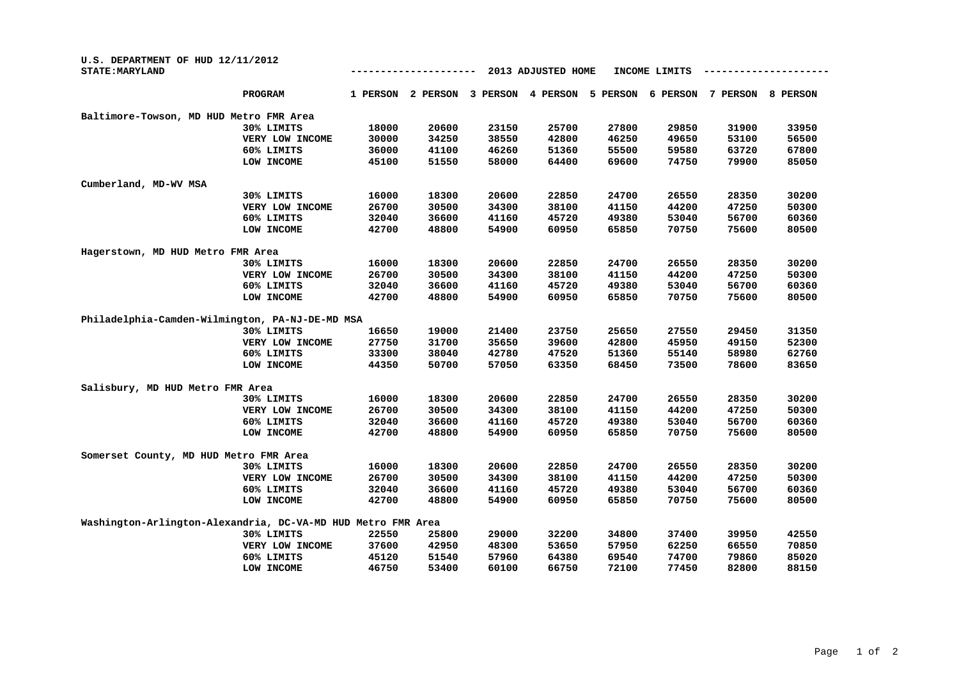| U.S. DEPARTMENT OF HUD 12/11/2012<br><b>STATE: MARYLAND</b>  | 2013 ADJUSTED HOME<br>INCOME LIMITS |          |          |          |          |          |          |          |
|--------------------------------------------------------------|-------------------------------------|----------|----------|----------|----------|----------|----------|----------|
| <b>PROGRAM</b>                                               | 1 PERSON                            | 2 PERSON | 3 PERSON | 4 PERSON | 5 PERSON | 6 PERSON | 7 PERSON | 8 PERSON |
| Baltimore-Towson, MD HUD Metro FMR Area                      |                                     |          |          |          |          |          |          |          |
| 30% LIMITS                                                   | 18000                               | 20600    | 23150    | 25700    | 27800    | 29850    | 31900    | 33950    |
| VERY LOW INCOME                                              | 30000                               | 34250    | 38550    | 42800    | 46250    | 49650    | 53100    | 56500    |
| 60% LIMITS                                                   | 36000                               | 41100    | 46260    | 51360    | 55500    | 59580    | 63720    | 67800    |
| LOW INCOME                                                   | 45100                               | 51550    | 58000    | 64400    | 69600    | 74750    | 79900    | 85050    |
| Cumberland, MD-WV MSA                                        |                                     |          |          |          |          |          |          |          |
| 30% LIMITS                                                   | 16000                               | 18300    | 20600    | 22850    | 24700    | 26550    | 28350    | 30200    |
| VERY LOW INCOME                                              | 26700                               | 30500    | 34300    | 38100    | 41150    | 44200    | 47250    | 50300    |
| 60% LIMITS                                                   | 32040                               | 36600    | 41160    | 45720    | 49380    | 53040    | 56700    | 60360    |
| LOW INCOME                                                   | 42700                               | 48800    | 54900    | 60950    | 65850    | 70750    | 75600    | 80500    |
| Hagerstown, MD HUD Metro FMR Area                            |                                     |          |          |          |          |          |          |          |
| 30% LIMITS                                                   | 16000                               | 18300    | 20600    | 22850    | 24700    | 26550    | 28350    | 30200    |
| VERY LOW INCOME                                              | 26700                               | 30500    | 34300    | 38100    | 41150    | 44200    | 47250    | 50300    |
| 60% LIMITS                                                   | 32040                               | 36600    | 41160    | 45720    | 49380    | 53040    | 56700    | 60360    |
| LOW INCOME                                                   | 42700                               | 48800    | 54900    | 60950    | 65850    | 70750    | 75600    | 80500    |
| Philadelphia-Camden-Wilmington, PA-NJ-DE-MD MSA              |                                     |          |          |          |          |          |          |          |
| 30% LIMITS                                                   | 16650                               | 19000    | 21400    | 23750    | 25650    | 27550    | 29450    | 31350    |
| VERY LOW INCOME                                              | 27750                               | 31700    | 35650    | 39600    | 42800    | 45950    | 49150    | 52300    |
| 60% LIMITS                                                   | 33300                               | 38040    | 42780    | 47520    | 51360    | 55140    | 58980    | 62760    |
| LOW INCOME                                                   | 44350                               | 50700    | 57050    | 63350    | 68450    | 73500    | 78600    | 83650    |
| Salisbury, MD HUD Metro FMR Area                             |                                     |          |          |          |          |          |          |          |
| 30% LIMITS                                                   | 16000                               | 18300    | 20600    | 22850    | 24700    | 26550    | 28350    | 30200    |
| VERY LOW INCOME                                              | 26700                               | 30500    | 34300    | 38100    | 41150    | 44200    | 47250    | 50300    |
| 60% LIMITS                                                   | 32040                               | 36600    | 41160    | 45720    | 49380    | 53040    | 56700    | 60360    |
| LOW INCOME                                                   | 42700                               | 48800    | 54900    | 60950    | 65850    | 70750    | 75600    | 80500    |
| Somerset County, MD HUD Metro FMR Area                       |                                     |          |          |          |          |          |          |          |
| 30% LIMITS                                                   | 16000                               | 18300    | 20600    | 22850    | 24700    | 26550    | 28350    | 30200    |
| VERY LOW INCOME                                              | 26700                               | 30500    | 34300    | 38100    | 41150    | 44200    | 47250    | 50300    |
| 60% LIMITS                                                   | 32040                               | 36600    | 41160    | 45720    | 49380    | 53040    | 56700    | 60360    |
| LOW INCOME                                                   | 42700                               | 48800    | 54900    | 60950    | 65850    | 70750    | 75600    | 80500    |
| Washington-Arlington-Alexandria, DC-VA-MD HUD Metro FMR Area |                                     |          |          |          |          |          |          |          |
| 30% LIMITS                                                   | 22550                               | 25800    | 29000    | 32200    | 34800    | 37400    | 39950    | 42550    |
| VERY LOW INCOME                                              | 37600                               | 42950    | 48300    | 53650    | 57950    | 62250    | 66550    | 70850    |
| 60% LIMITS                                                   | 45120                               | 51540    | 57960    | 64380    | 69540    | 74700    | 79860    | 85020    |
| LOW INCOME                                                   | 46750                               | 53400    | 60100    | 66750    | 72100    | 77450    | 82800    | 88150    |